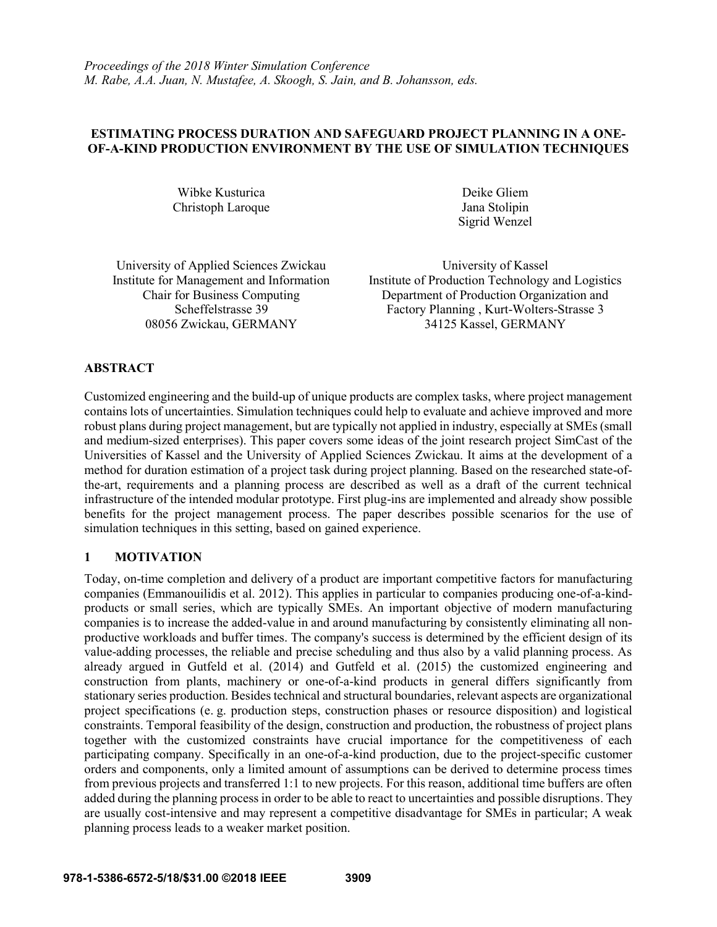## **ESTIMATING PROCESS DURATION AND SAFEGUARD PROJECT PLANNING IN A ONE-OF-A-KIND PRODUCTION ENVIRONMENT BY THE USE OF SIMULATION TECHNIQUES**

Wibke Kusturica Christoph Laroque

Deike Gliem Jana Stolipin Sigrid Wenzel

University of Applied Sciences Zwickau Institute for Management and Information Chair for Business Computing 08056 Zwickau, GERMANY

University of Kassel Institute of Production Technology and Logistics Department of Production Organization and Scheffelstrasse 39<br>
Factory Planning , Kurt-Wolters-Strasse 3<br>
5 Zwickau, GERMANY<br>
34125 Kassel, GERMANY

## **ABSTRACT**

Customized engineering and the build-up of unique products are complex tasks, where project management contains lots of uncertainties. Simulation techniques could help to evaluate and achieve improved and more robust plans during project management, but are typically not applied in industry, especially at SMEs (small and medium-sized enterprises). This paper covers some ideas of the joint research project SimCast of the Universities of Kassel and the University of Applied Sciences Zwickau. It aims at the development of a method for duration estimation of a project task during project planning. Based on the researched state-ofthe-art, requirements and a planning process are described as well as a draft of the current technical infrastructure of the intended modular prototype. First plug-ins are implemented and already show possible benefits for the project management process. The paper describes possible scenarios for the use of simulation techniques in this setting, based on gained experience.

### **1 MOTIVATION**

Today, on-time completion and delivery of a product are important competitive factors for manufacturing companies (Emmanouilidis et al. 2012). This applies in particular to companies producing one-of-a-kindproducts or small series, which are typically SMEs. An important objective of modern manufacturing companies is to increase the added-value in and around manufacturing by consistently eliminating all nonproductive workloads and buffer times. The company's success is determined by the efficient design of its value-adding processes, the reliable and precise scheduling and thus also by a valid planning process. As already argued in Gutfeld et al. (2014) and Gutfeld et al. (2015) the customized engineering and construction from plants, machinery or one-of-a-kind products in general differs significantly from stationary series production. Besides technical and structural boundaries, relevant aspects are organizational project specifications (e. g. production steps, construction phases or resource disposition) and logistical constraints. Temporal feasibility of the design, construction and production, the robustness of project plans together with the customized constraints have crucial importance for the competitiveness of each participating company. Specifically in an one-of-a-kind production, due to the project-specific customer orders and components, only a limited amount of assumptions can be derived to determine process times from previous projects and transferred 1:1 to new projects. For this reason, additional time buffers are often added during the planning process in order to be able to react to uncertainties and possible disruptions. They are usually cost-intensive and may represent a competitive disadvantage for SMEs in particular; A weak planning process leads to a weaker market position.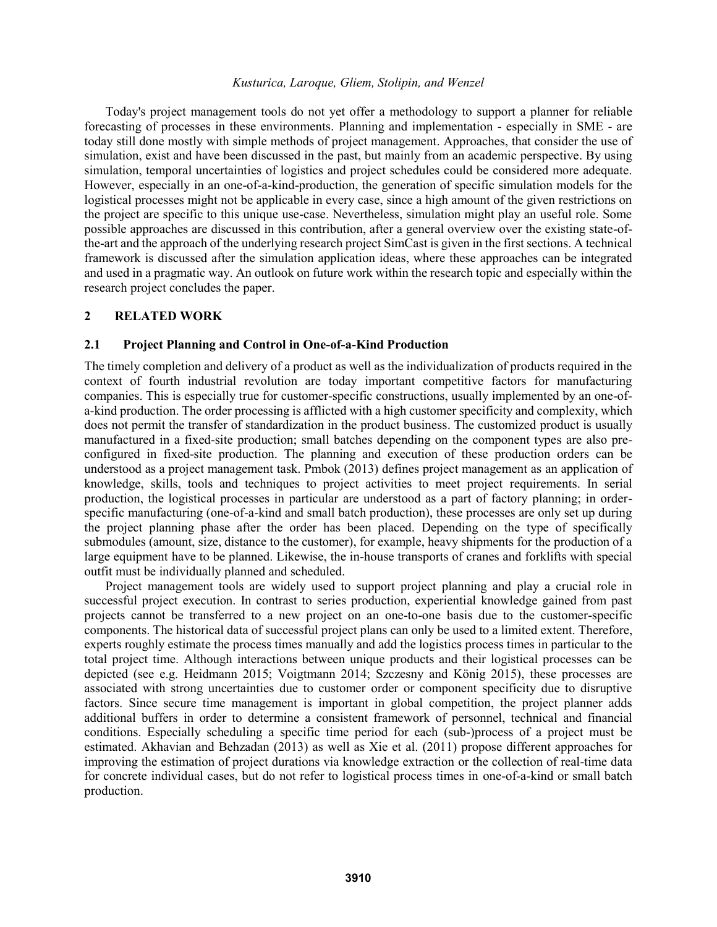Today's project management tools do not yet offer a methodology to support a planner for reliable forecasting of processes in these environments. Planning and implementation - especially in SME - are today still done mostly with simple methods of project management. Approaches, that consider the use of simulation, exist and have been discussed in the past, but mainly from an academic perspective. By using simulation, temporal uncertainties of logistics and project schedules could be considered more adequate. However, especially in an one-of-a-kind-production, the generation of specific simulation models for the logistical processes might not be applicable in every case, since a high amount of the given restrictions on the project are specific to this unique use-case. Nevertheless, simulation might play an useful role. Some possible approaches are discussed in this contribution, after a general overview over the existing state-ofthe-art and the approach of the underlying research project SimCast is given in the first sections. A technical framework is discussed after the simulation application ideas, where these approaches can be integrated and used in a pragmatic way. An outlook on future work within the research topic and especially within the research project concludes the paper.

#### **2 RELATED WORK**

#### **2.1 Project Planning and Control in One-of-a-Kind Production**

The timely completion and delivery of a product as well as the individualization of products required in the context of fourth industrial revolution are today important competitive factors for manufacturing companies. This is especially true for customer-specific constructions, usually implemented by an one-ofa-kind production. The order processing is afflicted with a high customer specificity and complexity, which does not permit the transfer of standardization in the product business. The customized product is usually manufactured in a fixed-site production; small batches depending on the component types are also preconfigured in fixed-site production. The planning and execution of these production orders can be understood as a project management task. Pmbok (2013) defines project management as an application of knowledge, skills, tools and techniques to project activities to meet project requirements. In serial production, the logistical processes in particular are understood as a part of factory planning; in orderspecific manufacturing (one-of-a-kind and small batch production), these processes are only set up during the project planning phase after the order has been placed. Depending on the type of specifically submodules (amount, size, distance to the customer), for example, heavy shipments for the production of a large equipment have to be planned. Likewise, the in-house transports of cranes and forklifts with special outfit must be individually planned and scheduled.

Project management tools are widely used to support project planning and play a crucial role in successful project execution. In contrast to series production, experiential knowledge gained from past projects cannot be transferred to a new project on an one-to-one basis due to the customer-specific components. The historical data of successful project plans can only be used to a limited extent. Therefore, experts roughly estimate the process times manually and add the logistics process times in particular to the total project time. Although interactions between unique products and their logistical processes can be depicted (see e.g. Heidmann 2015; Voigtmann 2014; Szczesny and König 2015), these processes are associated with strong uncertainties due to customer order or component specificity due to disruptive factors. Since secure time management is important in global competition, the project planner adds additional buffers in order to determine a consistent framework of personnel, technical and financial conditions. Especially scheduling a specific time period for each (sub-)process of a project must be estimated. Akhavian and Behzadan (2013) as well as Xie et al. (2011) propose different approaches for improving the estimation of project durations via knowledge extraction or the collection of real-time data for concrete individual cases, but do not refer to logistical process times in one-of-a-kind or small batch production.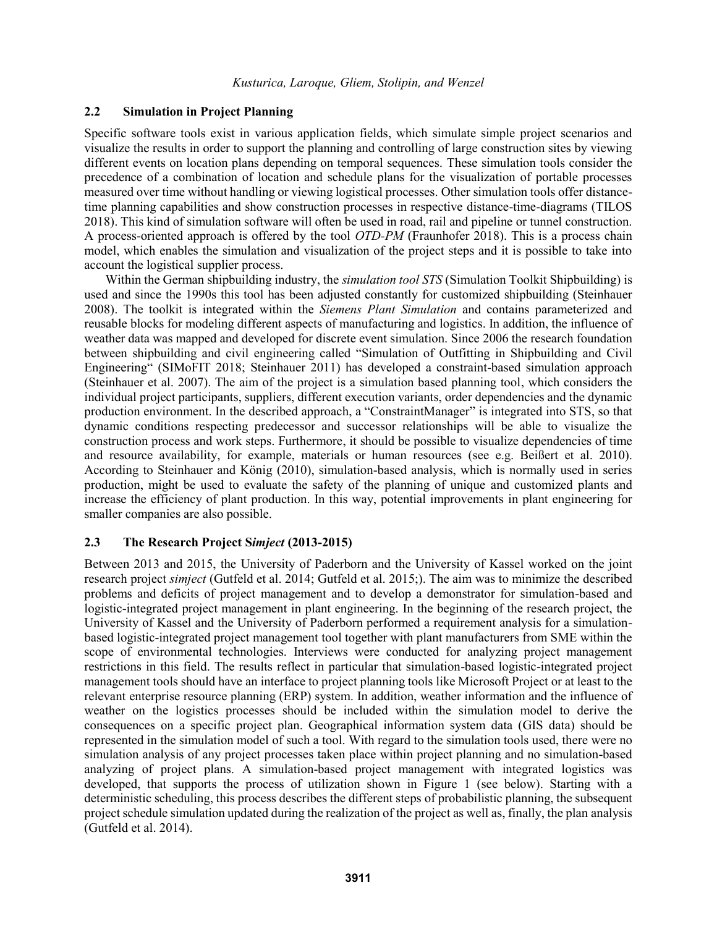# **2.2 Simulation in Project Planning**

Specific software tools exist in various application fields, which simulate simple project scenarios and visualize the results in order to support the planning and controlling of large construction sites by viewing different events on location plans depending on temporal sequences. These simulation tools consider the precedence of a combination of location and schedule plans for the visualization of portable processes measured over time without handling or viewing logistical processes. Other simulation tools offer distancetime planning capabilities and show construction processes in respective distance-time-diagrams (TILOS 2018). This kind of simulation software will often be used in road, rail and pipeline or tunnel construction. A process-oriented approach is offered by the tool *OTD-PM* (Fraunhofer 2018). This is a process chain model, which enables the simulation and visualization of the project steps and it is possible to take into account the logistical supplier process.

Within the German shipbuilding industry, the *simulation tool STS* (Simulation Toolkit Shipbuilding) is used and since the 1990s this tool has been adjusted constantly for customized shipbuilding (Steinhauer 2008). The toolkit is integrated within the *Siemens Plant Simulation* and contains parameterized and reusable blocks for modeling different aspects of manufacturing and logistics. In addition, the influence of weather data was mapped and developed for discrete event simulation. Since 2006 the research foundation between shipbuilding and civil engineering called "Simulation of Outfitting in Shipbuilding and Civil Engineering" (SIMoFIT 2018; Steinhauer 2011) has developed a constraint-based simulation approach (Steinhauer et al. 2007). The aim of the project is a simulation based planning tool, which considers the individual project participants, suppliers, different execution variants, order dependencies and the dynamic production environment. In the described approach, a "ConstraintManager" is integrated into STS, so that dynamic conditions respecting predecessor and successor relationships will be able to visualize the construction process and work steps. Furthermore, it should be possible to visualize dependencies of time and resource availability, for example, materials or human resources (see e.g. Beißert et al. 2010). According to Steinhauer and König (2010), simulation-based analysis, which is normally used in series production, might be used to evaluate the safety of the planning of unique and customized plants and increase the efficiency of plant production. In this way, potential improvements in plant engineering for smaller companies are also possible.

### **2.3 The Research Project S***imject* **(2013-2015)**

Between 2013 and 2015, the University of Paderborn and the University of Kassel worked on the joint research project *simject* (Gutfeld et al. 2014; Gutfeld et al. 2015;). The aim was to minimize the described problems and deficits of project management and to develop a demonstrator for simulation-based and logistic-integrated project management in plant engineering. In the beginning of the research project, the University of Kassel and the University of Paderborn performed a requirement analysis for a simulationbased logistic-integrated project management tool together with plant manufacturers from SME within the scope of environmental technologies. Interviews were conducted for analyzing project management restrictions in this field. The results reflect in particular that simulation-based logistic-integrated project management tools should have an interface to project planning tools like Microsoft Project or at least to the relevant enterprise resource planning (ERP) system. In addition, weather information and the influence of weather on the logistics processes should be included within the simulation model to derive the consequences on a specific project plan. Geographical information system data (GIS data) should be represented in the simulation model of such a tool. With regard to the simulation tools used, there were no simulation analysis of any project processes taken place within project planning and no simulation-based analyzing of project plans. A simulation-based project management with integrated logistics was developed, that supports the process of utilization shown in Figure 1 (see below). Starting with a deterministic scheduling, this process describes the different steps of probabilistic planning, the subsequent project schedule simulation updated during the realization of the project as well as, finally, the plan analysis (Gutfeld et al. 2014).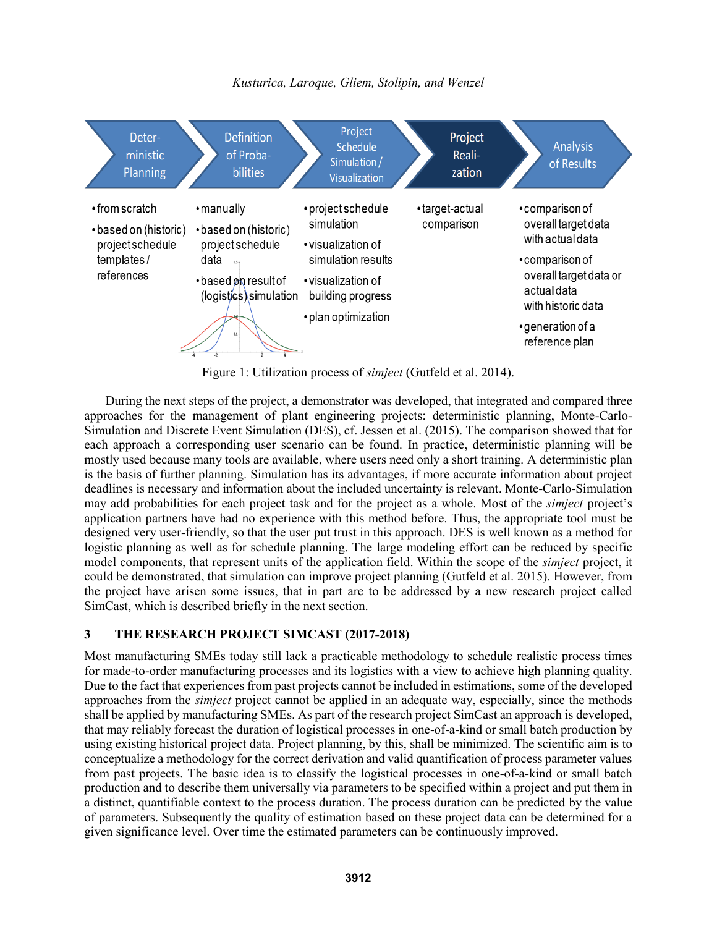



Figure 1: Utilization process of *simject* (Gutfeld et al. 2014).

During the next steps of the project, a demonstrator was developed, that integrated and compared three approaches for the management of plant engineering projects: deterministic planning, Monte-Carlo-Simulation and Discrete Event Simulation (DES), cf. Jessen et al. (2015). The comparison showed that for each approach a corresponding user scenario can be found. In practice, deterministic planning will be mostly used because many tools are available, where users need only a short training. A deterministic plan is the basis of further planning. Simulation has its advantages, if more accurate information about project deadlines is necessary and information about the included uncertainty is relevant. Monte-Carlo-Simulation may add probabilities for each project task and for the project as a whole. Most of the *simject* project's application partners have had no experience with this method before. Thus, the appropriate tool must be designed very user-friendly, so that the user put trust in this approach. DES is well known as a method for logistic planning as well as for schedule planning. The large modeling effort can be reduced by specific model components, that represent units of the application field. Within the scope of the *simject* project, it could be demonstrated, that simulation can improve project planning (Gutfeld et al. 2015). However, from the project have arisen some issues, that in part are to be addressed by a new research project called SimCast, which is described briefly in the next section.

# **3 THE RESEARCH PROJECT SIMCAST (2017-2018)**

Most manufacturing SMEs today still lack a practicable methodology to schedule realistic process times for made-to-order manufacturing processes and its logistics with a view to achieve high planning quality. Due to the fact that experiences from past projects cannot be included in estimations, some of the developed approaches from the *simject* project cannot be applied in an adequate way, especially, since the methods shall be applied by manufacturing SMEs. As part of the research project SimCast an approach is developed, that may reliably forecast the duration of logistical processes in one-of-a-kind or small batch production by using existing historical project data. Project planning, by this, shall be minimized. The scientific aim is to conceptualize a methodology for the correct derivation and valid quantification of process parameter values from past projects. The basic idea is to classify the logistical processes in one-of-a-kind or small batch production and to describe them universally via parameters to be specified within a project and put them in a distinct, quantifiable context to the process duration. The process duration can be predicted by the value of parameters. Subsequently the quality of estimation based on these project data can be determined for a given significance level. Over time the estimated parameters can be continuously improved.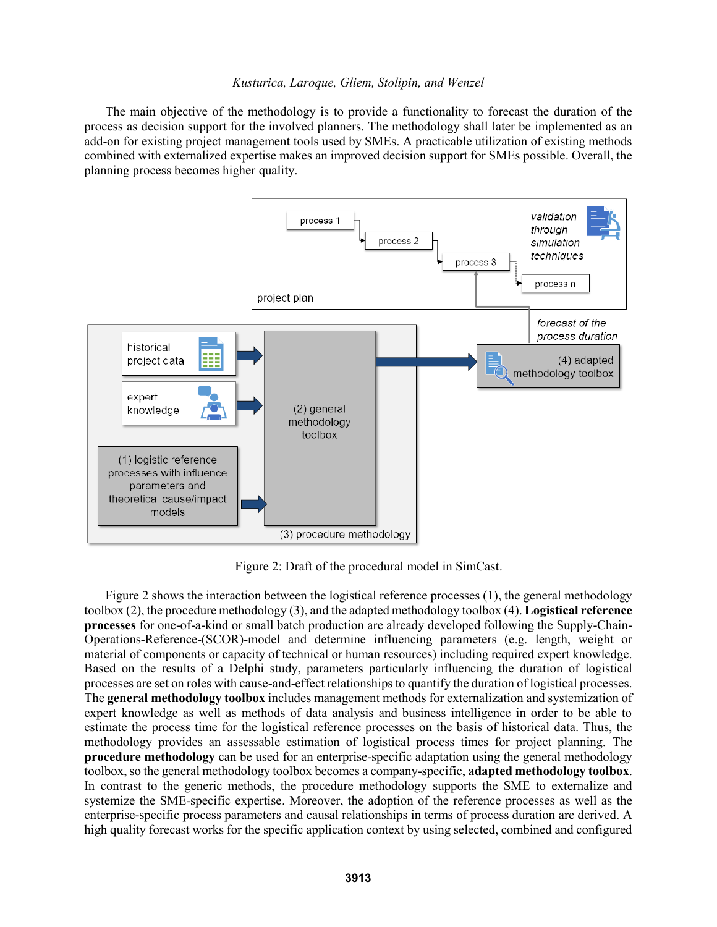The main objective of the methodology is to provide a functionality to forecast the duration of the process as decision support for the involved planners. The methodology shall later be implemented as an add-on for existing project management tools used by SMEs. A practicable utilization of existing methods combined with externalized expertise makes an improved decision support for SMEs possible. Overall, the planning process becomes higher quality.



Figure 2: Draft of the procedural model in SimCast.

Figure 2 shows the interaction between the logistical reference processes (1), the general methodology toolbox (2), the procedure methodology (3), and the adapted methodology toolbox (4). **Logistical reference processes** for one-of-a-kind or small batch production are already developed following the Supply-Chain-Operations-Reference-(SCOR)-model and determine influencing parameters (e.g. length, weight or material of components or capacity of technical or human resources) including required expert knowledge. Based on the results of a Delphi study, parameters particularly influencing the duration of logistical processes are set on roles with cause-and-effect relationships to quantify the duration of logistical processes. The **general methodology toolbox** includes management methods for externalization and systemization of expert knowledge as well as methods of data analysis and business intelligence in order to be able to estimate the process time for the logistical reference processes on the basis of historical data. Thus, the methodology provides an assessable estimation of logistical process times for project planning. The **procedure methodology** can be used for an enterprise-specific adaptation using the general methodology toolbox, so the general methodology toolbox becomes a company-specific, **adapted methodology toolbox**. In contrast to the generic methods, the procedure methodology supports the SME to externalize and systemize the SME-specific expertise. Moreover, the adoption of the reference processes as well as the enterprise-specific process parameters and causal relationships in terms of process duration are derived. A high quality forecast works for the specific application context by using selected, combined and configured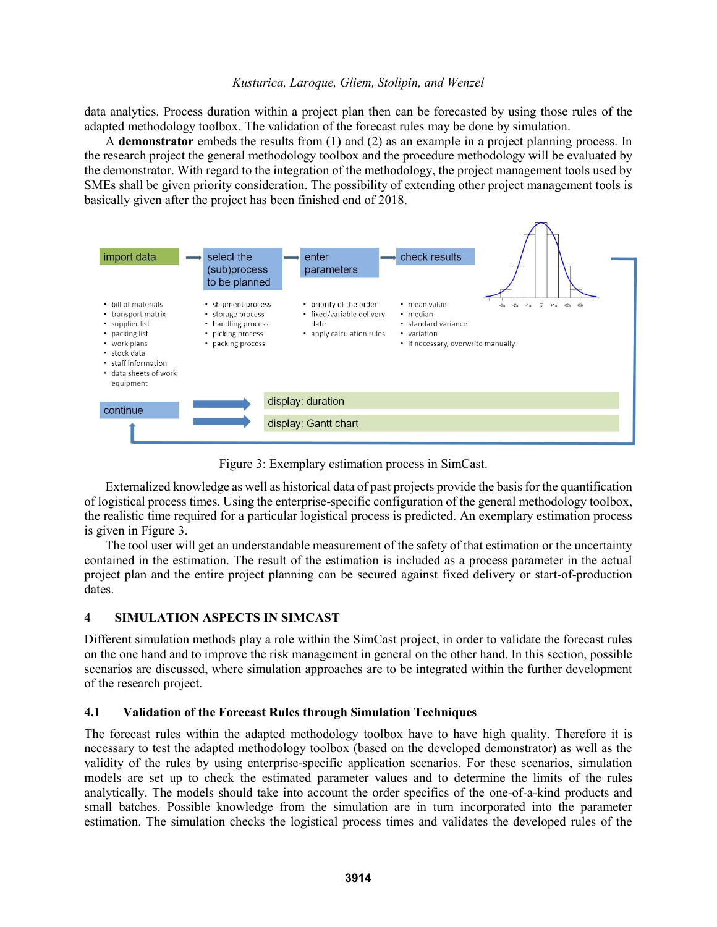data analytics. Process duration within a project plan then can be forecasted by using those rules of the adapted methodology toolbox. The validation of the forecast rules may be done by simulation.

A **demonstrator** embeds the results from (1) and (2) as an example in a project planning process. In the research project the general methodology toolbox and the procedure methodology will be evaluated by the demonstrator. With regard to the integration of the methodology, the project management tools used by SMEs shall be given priority consideration. The possibility of extending other project management tools is basically given after the project has been finished end of 2018.



Figure 3: Exemplary estimation process in SimCast.

Externalized knowledge as well as historical data of past projects provide the basis for the quantification of logistical process times. Using the enterprise-specific configuration of the general methodology toolbox, the realistic time required for a particular logistical process is predicted. An exemplary estimation process is given in Figure 3.

The tool user will get an understandable measurement of the safety of that estimation or the uncertainty contained in the estimation. The result of the estimation is included as a process parameter in the actual project plan and the entire project planning can be secured against fixed delivery or start-of-production dates.

# **4 SIMULATION ASPECTS IN SIMCAST**

Different simulation methods play a role within the SimCast project, in order to validate the forecast rules on the one hand and to improve the risk management in general on the other hand. In this section, possible scenarios are discussed, where simulation approaches are to be integrated within the further development of the research project.

# **4.1 Validation of the Forecast Rules through Simulation Techniques**

The forecast rules within the adapted methodology toolbox have to have high quality. Therefore it is necessary to test the adapted methodology toolbox (based on the developed demonstrator) as well as the validity of the rules by using enterprise-specific application scenarios. For these scenarios, simulation models are set up to check the estimated parameter values and to determine the limits of the rules analytically. The models should take into account the order specifics of the one-of-a-kind products and small batches. Possible knowledge from the simulation are in turn incorporated into the parameter estimation. The simulation checks the logistical process times and validates the developed rules of the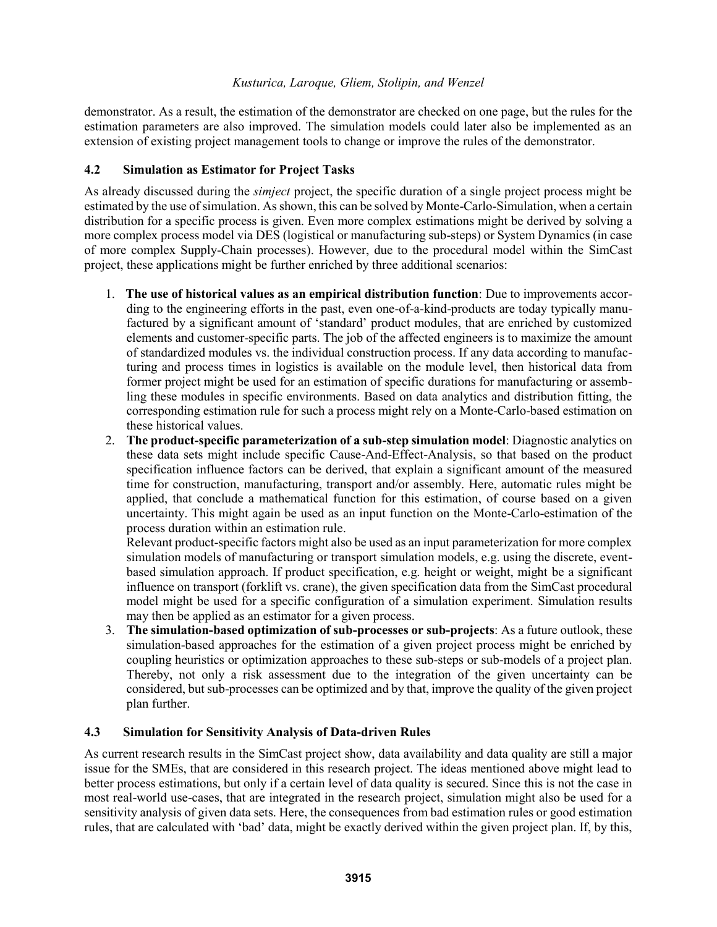demonstrator. As a result, the estimation of the demonstrator are checked on one page, but the rules for the estimation parameters are also improved. The simulation models could later also be implemented as an extension of existing project management tools to change or improve the rules of the demonstrator.

## **4.2 Simulation as Estimator for Project Tasks**

As already discussed during the *simject* project, the specific duration of a single project process might be estimated by the use of simulation. As shown, this can be solved by Monte-Carlo-Simulation, when a certain distribution for a specific process is given. Even more complex estimations might be derived by solving a more complex process model via DES (logistical or manufacturing sub-steps) or System Dynamics (in case of more complex Supply-Chain processes). However, due to the procedural model within the SimCast project, these applications might be further enriched by three additional scenarios:

- 1. **The use of historical values as an empirical distribution function**: Due to improvements according to the engineering efforts in the past, even one-of-a-kind-products are today typically manufactured by a significant amount of 'standard' product modules, that are enriched by customized elements and customer-specific parts. The job of the affected engineers is to maximize the amount of standardized modules vs. the individual construction process. If any data according to manufacturing and process times in logistics is available on the module level, then historical data from former project might be used for an estimation of specific durations for manufacturing or assembling these modules in specific environments. Based on data analytics and distribution fitting, the corresponding estimation rule for such a process might rely on a Monte-Carlo-based estimation on these historical values.
- 2. **The product-specific parameterization of a sub-step simulation model**: Diagnostic analytics on these data sets might include specific Cause-And-Effect-Analysis, so that based on the product specification influence factors can be derived, that explain a significant amount of the measured time for construction, manufacturing, transport and/or assembly. Here, automatic rules might be applied, that conclude a mathematical function for this estimation, of course based on a given uncertainty. This might again be used as an input function on the Monte-Carlo-estimation of the process duration within an estimation rule.

Relevant product-specific factors might also be used as an input parameterization for more complex simulation models of manufacturing or transport simulation models, e.g. using the discrete, eventbased simulation approach. If product specification, e.g. height or weight, might be a significant influence on transport (forklift vs. crane), the given specification data from the SimCast procedural model might be used for a specific configuration of a simulation experiment. Simulation results may then be applied as an estimator for a given process.

3. **The simulation-based optimization of sub-processes or sub-projects**: As a future outlook, these simulation-based approaches for the estimation of a given project process might be enriched by coupling heuristics or optimization approaches to these sub-steps or sub-models of a project plan. Thereby, not only a risk assessment due to the integration of the given uncertainty can be considered, but sub-processes can be optimized and by that, improve the quality of the given project plan further.

# **4.3 Simulation for Sensitivity Analysis of Data-driven Rules**

As current research results in the SimCast project show, data availability and data quality are still a major issue for the SMEs, that are considered in this research project. The ideas mentioned above might lead to better process estimations, but only if a certain level of data quality is secured. Since this is not the case in most real-world use-cases, that are integrated in the research project, simulation might also be used for a sensitivity analysis of given data sets. Here, the consequences from bad estimation rules or good estimation rules, that are calculated with 'bad' data, might be exactly derived within the given project plan. If, by this,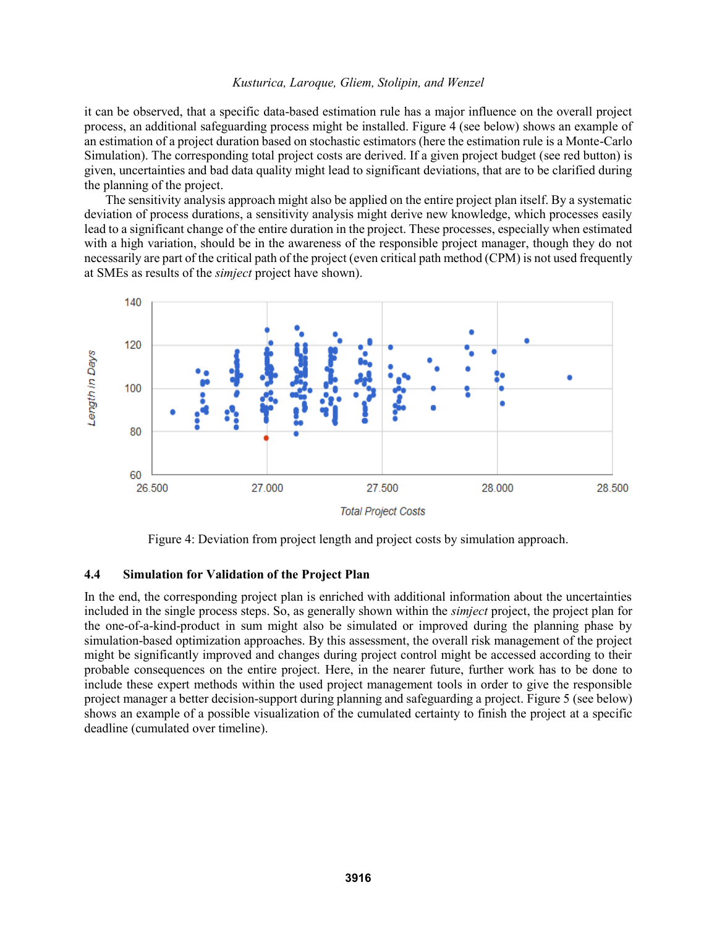it can be observed, that a specific data-based estimation rule has a major influence on the overall project process, an additional safeguarding process might be installed. Figure 4 (see below) shows an example of an estimation of a project duration based on stochastic estimators (here the estimation rule is a Monte-Carlo Simulation). The corresponding total project costs are derived. If a given project budget (see red button) is given, uncertainties and bad data quality might lead to significant deviations, that are to be clarified during the planning of the project.

The sensitivity analysis approach might also be applied on the entire project plan itself. By a systematic deviation of process durations, a sensitivity analysis might derive new knowledge, which processes easily lead to a significant change of the entire duration in the project. These processes, especially when estimated with a high variation, should be in the awareness of the responsible project manager, though they do not necessarily are part of the critical path of the project (even critical path method (CPM) is not used frequently at SMEs as results of the *simject* project have shown).



Figure 4: Deviation from project length and project costs by simulation approach.

#### **4.4 Simulation for Validation of the Project Plan**

In the end, the corresponding project plan is enriched with additional information about the uncertainties included in the single process steps. So, as generally shown within the *simject* project, the project plan for the one-of-a-kind-product in sum might also be simulated or improved during the planning phase by simulation-based optimization approaches. By this assessment, the overall risk management of the project might be significantly improved and changes during project control might be accessed according to their probable consequences on the entire project. Here, in the nearer future, further work has to be done to include these expert methods within the used project management tools in order to give the responsible project manager a better decision-support during planning and safeguarding a project. Figure 5 (see below) shows an example of a possible visualization of the cumulated certainty to finish the project at a specific deadline (cumulated over timeline).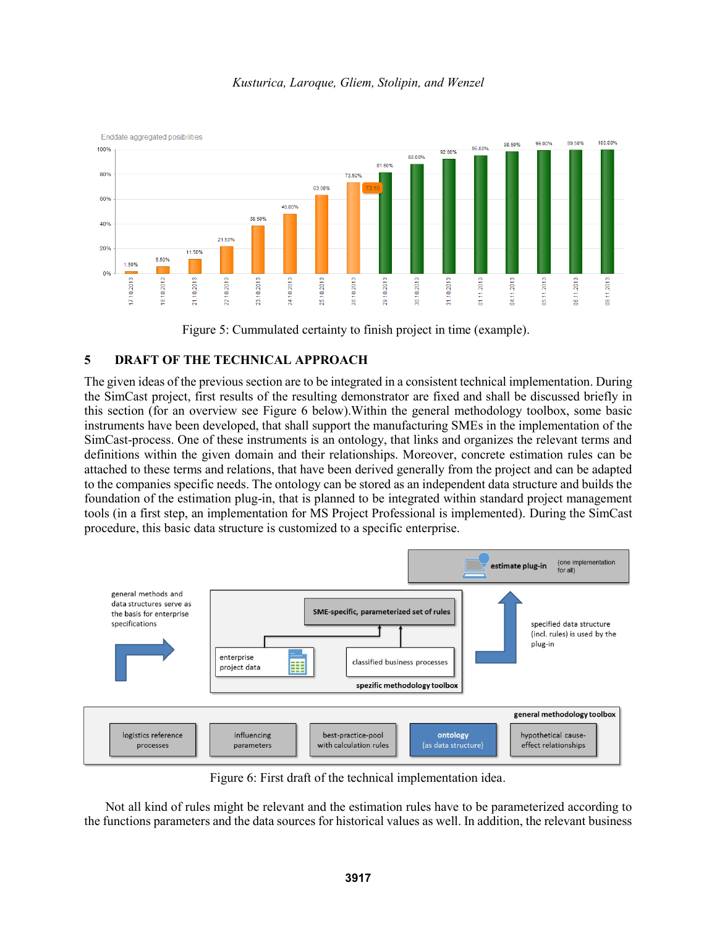



# **5 DRAFT OF THE TECHNICAL APPROACH**

The given ideas of the previous section are to be integrated in a consistent technical implementation. During the SimCast project, first results of the resulting demonstrator are fixed and shall be discussed briefly in this section (for an overview see Figure 6 below).Within the general methodology toolbox, some basic instruments have been developed, that shall support the manufacturing SMEs in the implementation of the SimCast-process. One of these instruments is an ontology, that links and organizes the relevant terms and definitions within the given domain and their relationships. Moreover, concrete estimation rules can be attached to these terms and relations, that have been derived generally from the project and can be adapted to the companies specific needs. The ontology can be stored as an independent data structure and builds the foundation of the estimation plug-in, that is planned to be integrated within standard project management tools (in a first step, an implementation for MS Project Professional is implemented). During the SimCast procedure, this basic data structure is customized to a specific enterprise.



Figure 6: First draft of the technical implementation idea.

Not all kind of rules might be relevant and the estimation rules have to be parameterized according to the functions parameters and the data sources for historical values as well. In addition, the relevant business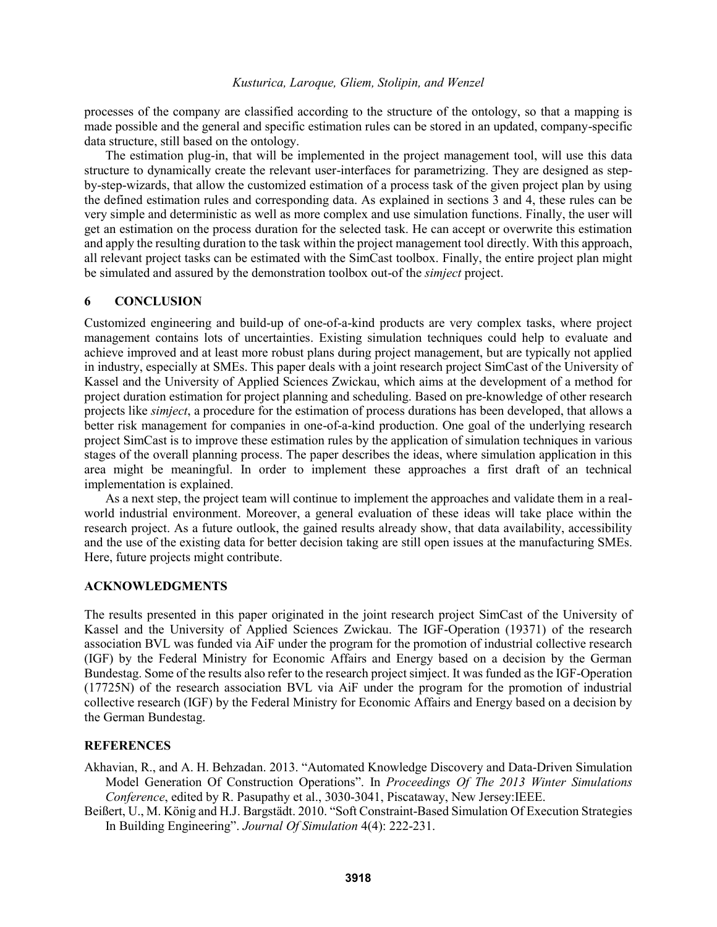processes of the company are classified according to the structure of the ontology, so that a mapping is made possible and the general and specific estimation rules can be stored in an updated, company-specific data structure, still based on the ontology.

The estimation plug-in, that will be implemented in the project management tool, will use this data structure to dynamically create the relevant user-interfaces for parametrizing. They are designed as stepby-step-wizards, that allow the customized estimation of a process task of the given project plan by using the defined estimation rules and corresponding data. As explained in sections 3 and 4, these rules can be very simple and deterministic as well as more complex and use simulation functions. Finally, the user will get an estimation on the process duration for the selected task. He can accept or overwrite this estimation and apply the resulting duration to the task within the project management tool directly. With this approach, all relevant project tasks can be estimated with the SimCast toolbox. Finally, the entire project plan might be simulated and assured by the demonstration toolbox out-of the *simject* project.

#### **6 CONCLUSION**

Customized engineering and build-up of one-of-a-kind products are very complex tasks, where project management contains lots of uncertainties. Existing simulation techniques could help to evaluate and achieve improved and at least more robust plans during project management, but are typically not applied in industry, especially at SMEs. This paper deals with a joint research project SimCast of the University of Kassel and the University of Applied Sciences Zwickau, which aims at the development of a method for project duration estimation for project planning and scheduling. Based on pre-knowledge of other research projects like *simject*, a procedure for the estimation of process durations has been developed, that allows a better risk management for companies in one-of-a-kind production. One goal of the underlying research project SimCast is to improve these estimation rules by the application of simulation techniques in various stages of the overall planning process. The paper describes the ideas, where simulation application in this area might be meaningful. In order to implement these approaches a first draft of an technical implementation is explained.

As a next step, the project team will continue to implement the approaches and validate them in a realworld industrial environment. Moreover, a general evaluation of these ideas will take place within the research project. As a future outlook, the gained results already show, that data availability, accessibility and the use of the existing data for better decision taking are still open issues at the manufacturing SMEs. Here, future projects might contribute.

### **ACKNOWLEDGMENTS**

The results presented in this paper originated in the joint research project SimCast of the University of Kassel and the University of Applied Sciences Zwickau. The IGF-Operation (19371) of the research association BVL was funded via AiF under the program for the promotion of industrial collective research (IGF) by the Federal Ministry for Economic Affairs and Energy based on a decision by the German Bundestag. Some of the results also refer to the research project simject. It was funded as the IGF-Operation (17725N) of the research association BVL via AiF under the program for the promotion of industrial collective research (IGF) by the Federal Ministry for Economic Affairs and Energy based on a decision by the German Bundestag.

#### **REFERENCES**

- Akhavian, R., and A. H. Behzadan. 2013. "Automated Knowledge Discovery and Data-Driven Simulation Model Generation Of Construction Operations". In *Proceedings Of The 2013 Winter Simulations Conference*, edited by R. Pasupathy et al., 3030-3041, Piscataway, New Jersey:IEEE.
- Beißert, U., M. König and H.J. Bargstädt. 2010. "Soft Constraint-Based Simulation Of Execution Strategies In Building Engineering". *Journal Of Simulation* 4(4): 222-231.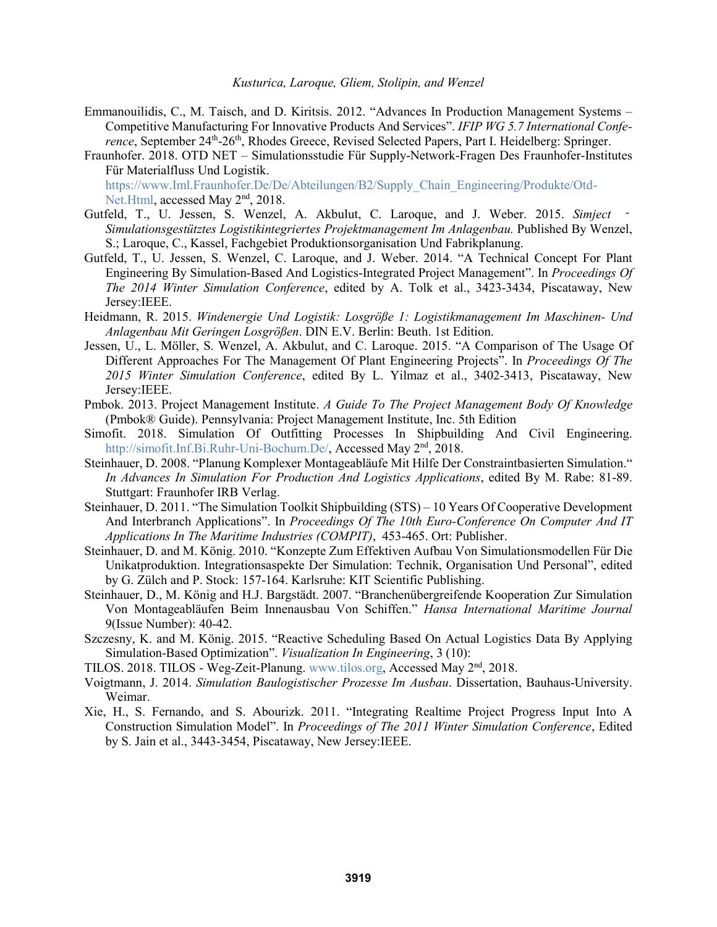- Emmanouilidis, C., M. Taisch, and D. Kiritsis. 2012. "Advances In Production Management Systems Competitive Manufacturing For Innovative Products And Services". *IFIP WG 5.7 International Confe*rence, September 24<sup>th</sup>-26<sup>th</sup>, Rhodes Greece, Revised Selected Papers, Part I. Heidelberg: Springer.
- Fraunhofer. 2018. OTD NET Simulationsstudie Für Supply-Network-Fragen Des Fraunhofer-Institutes Für Materialfluss Und Logistik. https://www.Iml.Fraunhofer.De/De/Abteilungen/B2/Supply\_Chain\_Engineering/Produkte/Otd-

Net.Html, accessed May 2<sup>nd</sup>, 2018.

- Gutfeld, T., U. Jessen, S. Wenzel, A. Akbulut, C. Laroque, and J. Weber. 2015. *Simject Simulationsgestütztes Logistikintegriertes Projektmanagement Im Anlagenbau.* Published By Wenzel, S.; Laroque, C., Kassel, Fachgebiet Produktionsorganisation Und Fabrikplanung.
- Gutfeld, T., U. Jessen, S. Wenzel, C. Laroque, and J. Weber. 2014. "A Technical Concept For Plant Engineering By Simulation-Based And Logistics-Integrated Project Management". In *Proceedings Of The 2014 Winter Simulation Conference*, edited by A. Tolk et al., 3423-3434, Piscataway, New Jersey:IEEE.
- Heidmann, R. 2015. *Windenergie Und Logistik: Losgröße 1: Logistikmanagement Im Maschinen- Und Anlagenbau Mit Geringen Losgrößen*. DIN E.V. Berlin: Beuth. 1st Edition.
- Jessen, U., L. Möller, S. Wenzel, A. Akbulut, and C. Laroque. 2015. "A Comparison of The Usage Of Different Approaches For The Management Of Plant Engineering Projects". In *Proceedings Of The 2015 Winter Simulation Conference*, edited By L. Yilmaz et al., 3402-3413, Piscataway, New Jersey:IEEE.
- Pmbok. 2013. Project Management Institute. *A Guide To The Project Management Body Of Knowledge* (Pmbok® Guide). Pennsylvania: Project Management Institute, Inc. 5th Edition
- Simofit. 2018. Simulation Of Outfitting Processes In Shipbuilding And Civil Engineering. http://simofit.Inf.Bi.Ruhr-Uni-Bochum.De/, Accessed May 2<sup>nd</sup>, 2018.
- Steinhauer, D. 2008. "Planung Komplexer Montageabläufe Mit Hilfe Der Constraintbasierten Simulation." *In Advances In Simulation For Production And Logistics Applications*, edited By M. Rabe: 81-89. Stuttgart: Fraunhofer IRB Verlag.
- Steinhauer, D. 2011. "The Simulation Toolkit Shipbuilding (STS) 10 Years Of Cooperative Development And Interbranch Applications". In *Proceedings Of The 10th Euro-Conference On Computer And IT Applications In The Maritime Industries (COMPIT)*, 453-465. Ort: Publisher.
- Steinhauer, D. and M. König. 2010. "Konzepte Zum Effektiven Aufbau Von Simulationsmodellen Für Die Unikatproduktion. Integrationsaspekte Der Simulation: Technik, Organisation Und Personal", edited by G. Zülch and P. Stock: 157-164. Karlsruhe: KIT Scientific Publishing.
- Steinhauer, D., M. König and H.J. Bargstädt. 2007. "Branchenübergreifende Kooperation Zur Simulation Von Montageabläufen Beim Innenausbau Von Schiffen." *Hansa International Maritime Journal* 9(Issue Number): 40-42.
- Szczesny, K. and M. König. 2015. "Reactive Scheduling Based On Actual Logistics Data By Applying Simulation-Based Optimization". *Visualization In Engineering*, 3 (10):
- TILOS. 2018. TILOS Weg-Zeit-Planung. www.tilos.org, Accessed May 2<sup>nd</sup>, 2018.
- Voigtmann, J. 2014. *Simulation Baulogistischer Prozesse Im Ausbau*. Dissertation, Bauhaus-University. Weimar.
- Xie, H., S. Fernando, and S. Abourizk. 2011. "Integrating Realtime Project Progress Input Into A Construction Simulation Model". In *Proceedings of The 2011 Winter Simulation Conference*, Edited by S. Jain et al., 3443-3454, Piscataway, New Jersey:IEEE.